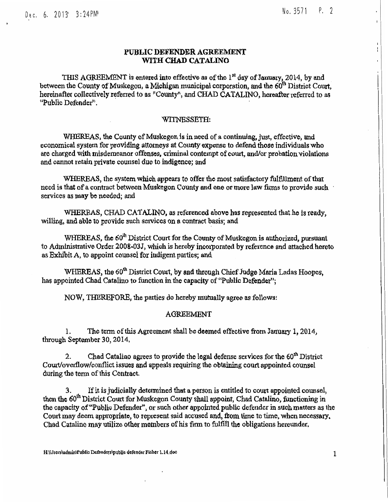No. 3571 P. 2

 $\mathbf{I}$ 

## PUBLIC DEFENDER AGREEMENT WITH CHAD CATALINO

THIS AGREEMENT is entered into effective as of the  $1<sup>st</sup>$  day of January, 2014, by and between the County of Muskegon, a Michigan municipal corporation, and the 60<sup>th</sup> District Court, hereinafter collectively referred to as "County", and CHAD CATALINO, hereafter referred to as "Public Defender".

### WITNESSETH:

WHEREAS, the County of Muskegon is in need of a continuing, just, effective, and economical system for providing attotneys at County expense to defend those individuals who are charged with misdemeanor offenses, criminal contempt of court, and/or probation violations and cannot retain private counsel due to indigence; and

WHEREAS, the system which appears to offer the most satisfactory fulfillment of that need is that of a contract between Muskegon County and one or more law firms to provide such services as may be needed; and

WHEREAS, CHAD CATALINO, as referenced above has represented that he is ready, willing, and able to provide such services on a contract basis; and

WHEREAS, the 60<sup>th</sup> District Court for the County of Muskegon is authorized, pursuant to Administrative Order 2008-03J, which is hereby incorporated by reference and attached hereto as Exhibit A, to appoint counsel for indigent parties; and

WHEREAS, the 60<sup>th</sup> District Court, by and through Chief Judge Maria Ladas Hoopes, has appointed Chad Catalino to function in the capacity of "Public Defender";

NOW, THEREFORE, the parties do hereby mutually agree as follows:

#### AGREEMENT

1. The term of this Agreement shall be deemed effective from January 1, 2014, through September 30, 2014,

2. Chad Catalino agrees to provide the legal defense services for the  $60<sup>th</sup>$  District Court/overflow/conflict issues and appeals requiring the obtaining court appointed counsel during the term of this Contract.

3. If it is judicially determined that a person is entitled to court appointed counsel, then the 60<sup>th</sup> District Court for Muskegon County shall appoint, Chad Catalino, functioning in the capacity of "Public Defender", or such other appointed public defender in such matters as the Court may deem appropriate, to represent said accused and, from time to time, when necessary. Chad Catalino may utilize other members of his firm to fulfill the obligations hereunder.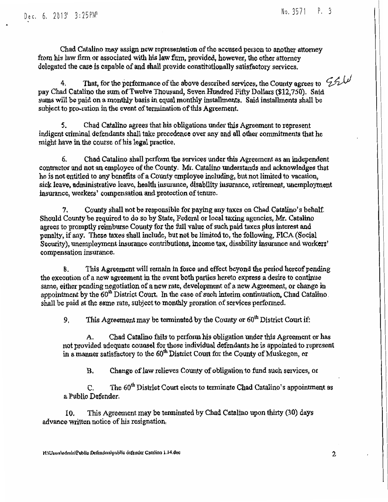Chad Catalino may assign new representation of the accused person to another attorney from his law firm or associated with his law flim, provided, however, the other attorney delegated the case is capable of and shall provide constitutionally satisfactory services.

4. That, for the performance of the above described services, the County agrees to  $\mathcal{L}$ pay Chad Catalino the sum of Twelve Thousand, Seven Hundred Fifty Dollars (\$12,750). Said sums will be paid on a monthly basis in equal monthly installments. Said installments shall be subject to pro-ration in the event of termination of this Agreement.

5. Chad Catalino agrees that his obligations under this Agreement to represent indigent criminal defendants shall take precedence over any and all other commitments that he might have in the course of his legal practice,

6. Chad Catalino shall perform the services under this Agreement as an independent contractor and not an employee of the County. Mr. Catalino undetstands and acknowledges that he is not entitled to any benefits of a County employee including, but not limited to vacation, sick leave, administrative leave, health insurance, disability insurance, retirement, unemployment insurance, workers' compensation and protection of ienure.

7. County shall not be responsible fol' paying any taxes on Chad Catalino' *s* behalf. Should County be required to do so by State, Federal or local taxing agencies, Mr. Catalino agcees to promptly reimburse County for the full value of such paid taxes plus interest and penalty, if any. These taxes shall include, but not be limited to, the following, FICA (Social Security), unemployment insurance contributions, income tax, disability insurance and workers' compensation insurance.

8. This Agreement will remain in force and effect beyond the period hereof pending the execution of a new agreement in the event both parties hereto express a desire to continue same) either pending negotiation of a new rate, development of a new Agreement, or change in appointment by the 60<sup>th</sup> District Court. In the case of such interim continuation, Chad Catalino. shall be paid at the same rate, subject to monthly proration of services performed.

9. This Agreement may be terminated by the County or  $60<sup>th</sup>$  District Court if:

A. Chad Catalino fails to perform his obligation under this Agreement or has not provided adequate counsel for those individual defendants he is appointed to represent in a manner satisfactory to the 60<sup>th</sup> District Court for the County of Muskegon, or

B. Change of law relieves County of obligation to fund such services, or

C. The  $60<sup>th</sup>$  District Court elects to terminate Chad Catalino's appointment as a Publio Defender.

10. This Agreement may be terminated by Chad Catalino upon thirty (30) days advance written notice of his resignation.